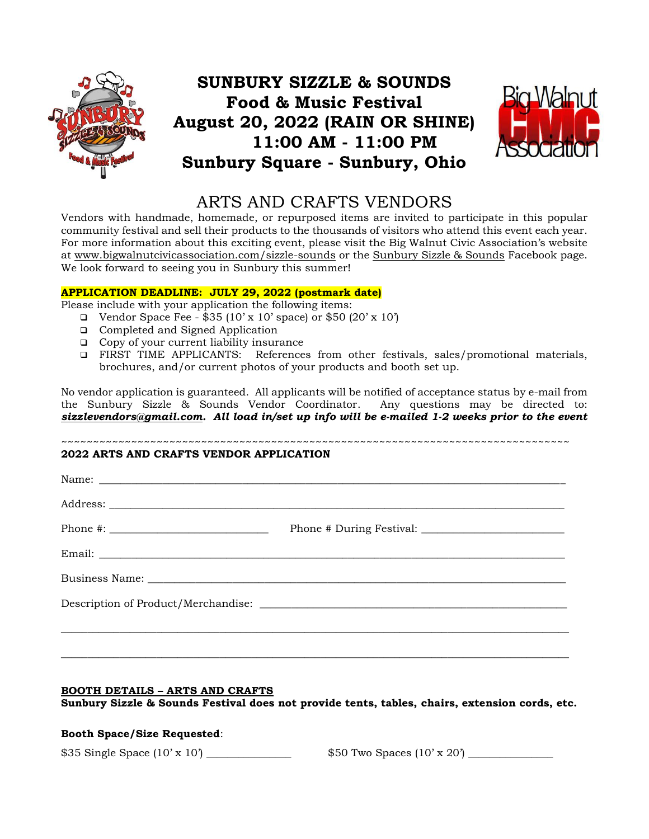

# **SUNBURY SIZZLE & SOUNDS Food & Music Festival August 20, 2022 (RAIN OR SHINE) 11:00 AM - 11:00 PM Sunbury Square - Sunbury, Ohio**



## ARTS AND CRAFTS VENDORS

Vendors with handmade, homemade, or repurposed items are invited to participate in this popular community festival and sell their products to the thousands of visitors who attend this event each year. For more information about this exciting event, please visit the Big Walnut Civic Association's website at [www.bigwalnutcivicassociation.com/sizzle-sounds](http://www.bigwalnutcivicassociation.com/sizzle-sounds) or the [Sunbury Sizzle & Sounds](https://www.facebook.com/pg/sunburysizzleandsounds/posts/) Facebook page. We look forward to seeing you in Sunbury this summer!

### **APPLICATION DEADLINE: JULY 29, 2022 (postmark date)**

Please include with your application the following items:

- □ Vendor Space Fee  $$35 (10' \times 10'$  space) or  $$50 (20' \times 10')$
- ❑ Completed and Signed Application
- ❑ Copy of your current liability insurance
- ❑ FIRST TIME APPLICANTS: References from other festivals, sales/promotional materials, brochures, and/or current photos of your products and booth set up.

No vendor application is guaranteed. All applicants will be notified of acceptance status by e-mail from the Sunbury Sizzle & Sounds Vendor Coordinator. Any questions may be directed to: *[sizzlevendors@gmail.com.](mailto:sizzlevendors@gmail.com) All load in/set up info will be e-mailed 1-2 weeks prior to the event*

#### ~~~~~~~~~~~~~~~~~~~~~~~~~~~~~~~~~~~~~~~~~~~~~~~~~~~~~~~~~~~~~~~~~~~~~~~~~~~~~~~~ **2022 ARTS AND CRAFTS VENDOR APPLICATION**

| Business Name: Name: Name and All Contract and All Contract and All Contract and All Contract and All Contract and All Contract and All Contract and All Contract and All Contract and All Contract and All Contract and All C |
|--------------------------------------------------------------------------------------------------------------------------------------------------------------------------------------------------------------------------------|
|                                                                                                                                                                                                                                |
|                                                                                                                                                                                                                                |
|                                                                                                                                                                                                                                |

## **BOOTH DETAILS – ARTS AND CRAFTS**

**Sunbury Sizzle & Sounds Festival does not provide tents, tables, chairs, extension cords, etc.**

## **Booth Space/Size Requested**:

 $$35$  Single Space  $(10' \times 10')$   $$50$  Two Spaces  $(10' \times 20')$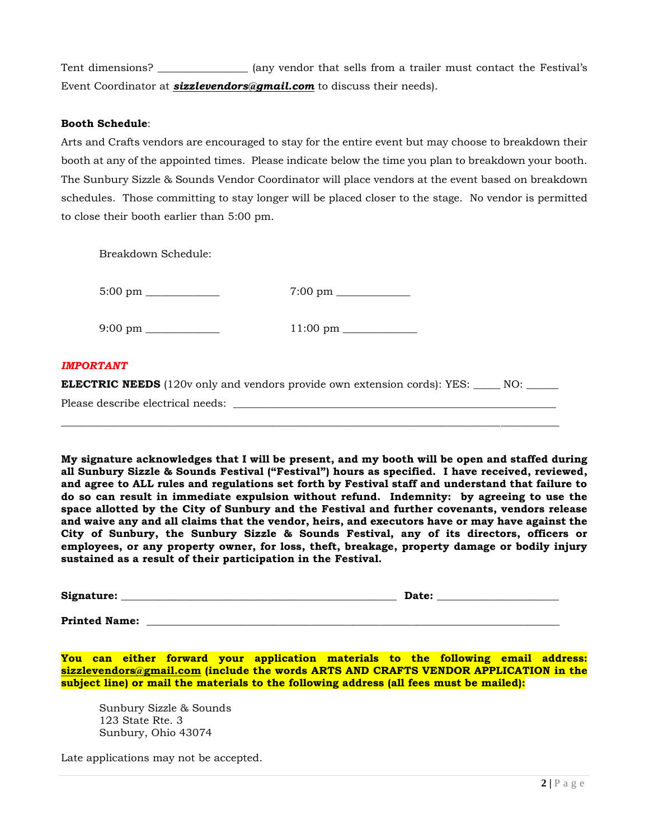Tent dimensions? \_\_\_\_\_\_\_\_\_\_\_\_\_\_\_\_ (any vendor that sells from a trailer must contact the Festival's Event Coordinator at *[sizzlevendors@gmail.com](mailto:sizzlevendors@gmail.com)* to discuss their needs).

#### **Booth Schedule**:

Arts and Crafts vendors are encouraged to stay for the entire event but may choose to breakdown their booth at any of the appointed times. Please indicate below the time you plan to breakdown your booth. The Sunbury Sizzle & Sounds Vendor Coordinator will place vendors at the event based on breakdown schedules. Those committing to stay longer will be placed closer to the stage. No vendor is permitted to close their booth earlier than 5:00 pm.

Breakdown Schedule:

|                                   | $7:00 \text{ pm}$                                                                               |
|-----------------------------------|-------------------------------------------------------------------------------------------------|
|                                   |                                                                                                 |
| <b>IMPORTANT</b>                  |                                                                                                 |
|                                   | <b>ELECTRIC NEEDS</b> (120v only and vendors provide own extension cords): YES: _____ NO: _____ |
| Please describe electrical needs: |                                                                                                 |

\_\_\_\_\_\_\_\_\_\_\_\_\_\_\_\_\_\_\_\_\_\_\_\_\_\_\_\_\_\_\_\_\_\_\_\_\_\_\_\_\_\_\_\_\_\_\_\_\_\_\_\_\_\_\_\_\_\_\_\_\_\_\_\_\_\_\_\_\_\_\_\_\_\_\_\_\_\_\_\_\_\_\_\_\_\_\_\_\_\_\_\_\_\_

**My signature acknowledges that I will be present, and my booth will be open and staffed during all Sunbury Sizzle & Sounds Festival ("Festival") hours as specified. I have received, reviewed, and agree to ALL rules and regulations set forth by Festival staff and understand that failure to do so can result in immediate expulsion without refund. Indemnity: by agreeing to use the space allotted by the City of Sunbury and the Festival and further covenants, vendors release and waive any and all claims that the vendor, heirs, and executors have or may have against the City of Sunbury, the Sunbury Sizzle & Sounds Festival, any of its directors, officers or employees, or any property owner, for loss, theft, breakage, property damage or bodily injury sustained as a result of their participation in the Festival.**

| Signature: | Date: |
|------------|-------|
|            |       |

**Printed Name:**  $\blacksquare$ 

**You can either forward your application materials to the following email address: [sizzlevendors@gmail.com](mailto:sizzlevendors@gmail.com) (include the words ARTS AND CRAFTS VENDOR APPLICATION in the subject line) or mail the materials to the following address (all fees must be mailed):** 

Sunbury Sizzle & Sounds 123 State Rte. 3 Sunbury, Ohio 43074

Late applications may not be accepted.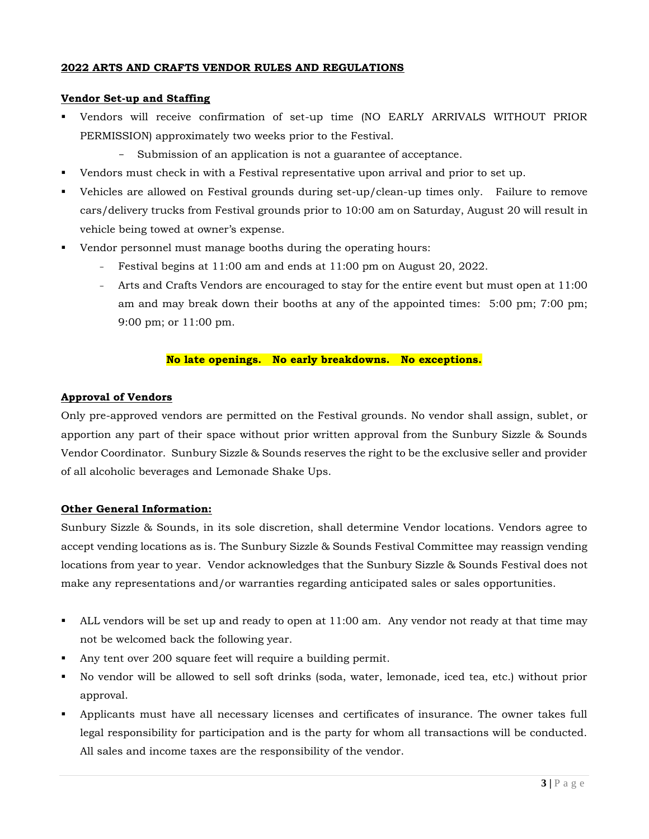### **2022 ARTS AND CRAFTS VENDOR RULES AND REGULATIONS**

#### **Vendor Set-up and Staffing**

- Vendors will receive confirmation of set-up time (NO EARLY ARRIVALS WITHOUT PRIOR PERMISSION) approximately two weeks prior to the Festival.
	- Submission of an application is not a guarantee of acceptance.
- Vendors must check in with a Festival representative upon arrival and prior to set up.
- Vehicles are allowed on Festival grounds during set-up/clean-up times only. Failure to remove cars/delivery trucks from Festival grounds prior to 10:00 am on Saturday, August 20 will result in vehicle being towed at owner's expense.
- Vendor personnel must manage booths during the operating hours:
	- Festival begins at 11:00 am and ends at 11:00 pm on August 20, 2022.
	- Arts and Crafts Vendors are encouraged to stay for the entire event but must open at 11:00 am and may break down their booths at any of the appointed times: 5:00 pm; 7:00 pm; 9:00 pm; or 11:00 pm.

#### **No late openings. No early breakdowns. No exceptions.**

### **Approval of Vendors**

Only pre-approved vendors are permitted on the Festival grounds. No vendor shall assign, sublet, or apportion any part of their space without prior written approval from the Sunbury Sizzle & Sounds Vendor Coordinator. Sunbury Sizzle & Sounds reserves the right to be the exclusive seller and provider of all alcoholic beverages and Lemonade Shake Ups.

#### **Other General Information:**

Sunbury Sizzle & Sounds, in its sole discretion, shall determine Vendor locations. Vendors agree to accept vending locations as is. The Sunbury Sizzle & Sounds Festival Committee may reassign vending locations from year to year. Vendor acknowledges that the Sunbury Sizzle & Sounds Festival does not make any representations and/or warranties regarding anticipated sales or sales opportunities.

- ALL vendors will be set up and ready to open at 11:00 am. Any vendor not ready at that time may not be welcomed back the following year.
- Any tent over 200 square feet will require a building permit.
- No vendor will be allowed to sell soft drinks (soda, water, lemonade, iced tea, etc.) without prior approval.
- Applicants must have all necessary licenses and certificates of insurance. The owner takes full legal responsibility for participation and is the party for whom all transactions will be conducted. All sales and income taxes are the responsibility of the vendor.